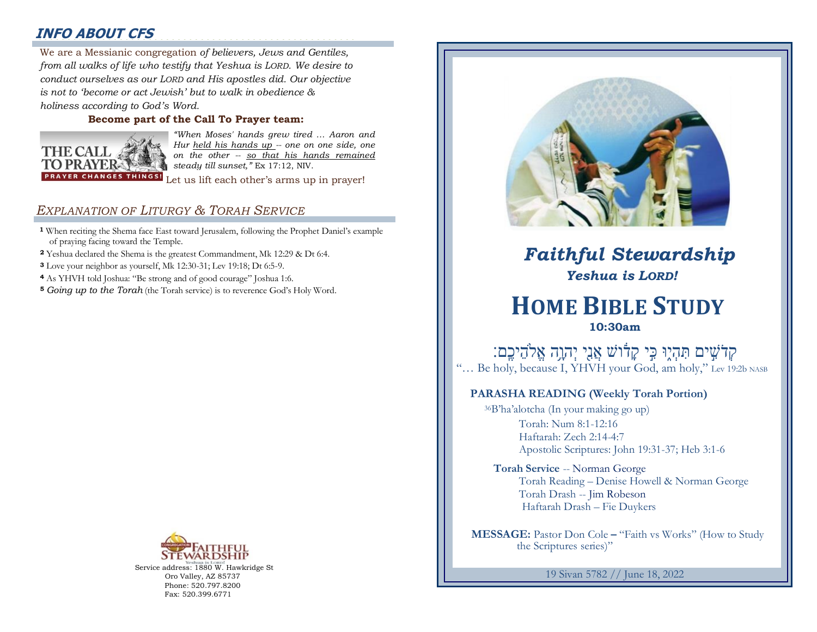# **INFO ABOUT CFS**

2000000000000000000000000000000000000000000000000000000 We are a Messianic congregation *of believers, Jews and Gentiles,*  : *from all walks of life who testify that Yeshua is LORD. We desire to conduct ourselves as our LORD and His apostles did. Our objective is not to 'become or act Jewish' but to walk in obedience & holiness according to God's Word.* 

### **Become part of the Call To Prayer team:**



*"When Moses' hands grew tired … Aaron and Hur held his hands up -- one on one side, one on the other -- so that his hands remained steady till sunset,"* Ex 17:12, NIV.

Let us lift each other's arms up in prayer!

## *EXPLANATION OF LITURGY & TORAH SERVICE*

- **<sup>1</sup>** When reciting the Shema face East toward Jerusalem, following the Prophet Daniel's example of praying facing toward the Temple.
- **<sup>2</sup>** Yeshua declared the Shema is the greatest Commandment, Mk 12:29 & Dt 6:4.
- **<sup>3</sup>** Love your neighbor as yourself, Mk 12:30-31; Lev 19:18; Dt 6:5-9.
- **<sup>4</sup>** As YHVH told Joshua: "Be strong and of good courage" Joshua 1:6.
- **<sup>5</sup>** *Going up to the Torah* (the Torah service) is to reverence God's Holy Word.



Service address: 1880 W. Hawkridge St Oro Valley, AZ 85737 Phone: 520.797.8200 Fax: 520.399.6771



# *Faithful Stewardship Yeshua is LORD!*

# **HOME BIBLE STUDY 10:30am**

ְקְרֹשִׁים תִּהְיֶן כִּי קָדֹוֹשׁ אֲנֵי יְהְוֶה אֱלֹהֵיכֶם: "... Be holy, because I, YHVH your God, am holy," Lev 19:2b NASB

## **PARASHA READING (Weekly Torah Portion)**

<sup>36</sup>B'ha'alotcha (In your making go up) Torah: Num 8:1-12:16 Haftarah: Zech 2:14-4:7 Apostolic Scriptures: John 19:31-37; Heb 3:1-6

**Torah Service** -- Norman George Torah Reading – Denise Howell & Norman George Torah Drash -- Jim Robeson Haftarah Drash – Fie Duykers

 **MESSAGE:** Pastor Don Cole **–** "Faith vs Works" (How to Study the Scriptures series)"

19 Sivan 5782 // June 18, 2022